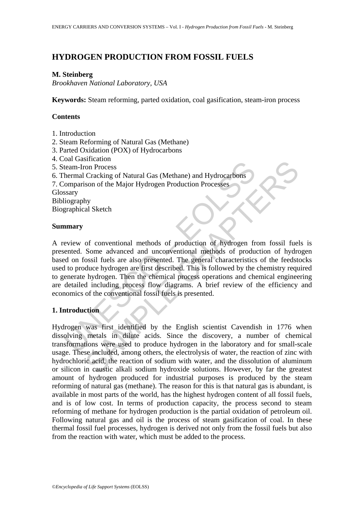# **HYDROGEN PRODUCTION FROM FOSSIL FUELS**

### **M. Steinberg**

*Brookhaven National Laboratory, USA* 

**Keywords:** Steam reforming, parted oxidation, coal gasification, steam-iron process

## **Contents**

- 1. Introduction
- 2. Steam Reforming of Natural Gas (Methane)
- 3. Parted Oxidation (POX) of Hydrocarbons
- 4. Coal Gasification
- 5. Steam-Iron Process
- 6. Thermal Cracking of Natural Gas (Methane) and Hydrocarbons

7. Comparison of the Major Hydrogen Production Processes

**Glossary** 

Bibliography

Biographical Sketch

### **Summary**

our Canarotation<br>team-Iron Process<br>hermal Cracking of Natural Gas (Methane) and Hydrocarbons<br>Somparison of the Major Hydrogen Production Processes<br>sary<br>itiography<br>graphical Sketch<br>**amary**<br>eview of conventional methods of p Someroid<br>
Som Process<br>
Cracking of Natural Gas (Methane) and Hydrocarbons<br>
Som of the Major Hydrogen Production Processes<br>
Som of the Major Hydrogen Production of hydrogen from fossil fuel<br>
Some advanced and unconventional A review of conventional methods of production of hydrogen from fossil fuels is presented. Some advanced and unconventional methods of production of hydrogen based on fossil fuels are also presented. The general characteristics of the feedstocks used to produce hydrogen are first described. This is followed by the chemistry required to generate hydrogen. Then the chemical process operations and chemical engineering are detailed including process flow diagrams. A brief review of the efficiency and economics of the conventional fossil fuels is presented.

## **1. Introduction**

Hydrogen was first identified by the English scientist Cavendish in 1776 when dissolving metals in dilute acids. Since the discovery, a number of chemical transformations were used to produce hydrogen in the laboratory and for small-scale usage. These included, among others, the electrolysis of water, the reaction of zinc with hydrochloric acid, the reaction of sodium with water, and the dissolution of aluminum or silicon in caustic alkali sodium hydroxide solutions. However, by far the greatest amount of hydrogen produced for industrial purposes is produced by the steam reforming of natural gas (methane). The reason for this is that natural gas is abundant, is available in most parts of the world, has the highest hydrogen content of all fossil fuels, and is of low cost. In terms of production capacity, the process second to steam reforming of methane for hydrogen production is the partial oxidation of petroleum oil. Following natural gas and oil is the process of steam gasification of coal. In these thermal fossil fuel processes, hydrogen is derived not only from the fossil fuels but also from the reaction with water, which must be added to the process.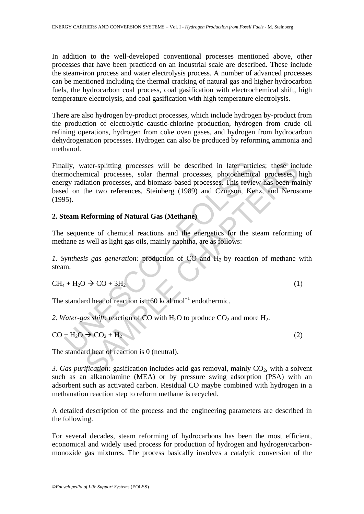In addition to the well-developed conventional processes mentioned above, other processes that have been practiced on an industrial scale are described. These include the steam-iron process and water electrolysis process. A number of advanced processes can be mentioned including the thermal cracking of natural gas and higher hydrocarbon fuels, the hydrocarbon coal process, coal gasification with electrochemical shift, high temperature electrolysis, and coal gasification with high temperature electrolysis.

There are also hydrogen by-product processes, which include hydrogen by-product from the production of electrolytic caustic-chlorine production, hydrogen from crude oil refining operations, hydrogen from coke oven gases, and hydrogen from hydrocarbon dehydrogenation processes. Hydrogen can also be produced by reforming ammonia and methanol.

Illy, water-splitting processes will be described in later artic<br>mochemical processes, solar thermal processes, photochemical<br>gy radiation processes, and biomass-based processes. This review<br>of the two references, Steinbe ater-splitting processes will be described in later articles; these inc<br>mical processes, solar thermal processes, photochemical processes,<br>iation processes, and biomass-based processes. This review has been made<br>the two r Finally, water-splitting processes will be described in later articles; these include thermochemical processes, solar thermal processes, photochemical processes, high energy radiation processes, and biomass-based processes. This review has been mainly based on the two references, Steinberg (1989) and Czugson, Kenz, and Nerosome (1995).

## **2. Steam Reforming of Natural Gas (Methane)**

The sequence of chemical reactions and the energetics for the steam reforming of methane as well as light gas oils, mainly naphtha, are as follows:

*1. Synthesis gas generation:* production of CO and H2 by reaction of methane with steam.

$$
CH_4 + H_2O \rightarrow CO + 3H_2
$$
 (1)

The standard heat of reaction is  $+60$  kcal mol<sup>-1</sup> endothermic.

2. Water-gas shift: reaction of CO with  $H_2O$  to produce  $CO_2$  and more  $H_2$ .

$$
CO + H2O \rightarrow CO2 + H2
$$
 (2)

The standard heat of reaction is 0 (neutral).

*3. Gas purification:* gasification includes acid gas removal, mainly CO<sub>2</sub>, with a solvent such as an alkanolamine (MEA) or by pressure swing adsorption (PSA) with an adsorbent such as activated carbon. Residual CO maybe combined with hydrogen in a methanation reaction step to reform methane is recycled.

A detailed description of the process and the engineering parameters are described in the following.

For several decades, steam reforming of hydrocarbons has been the most efficient, economical and widely used process for production of hydrogen and hydrogen/carbonmonoxide gas mixtures. The process basically involves a catalytic conversion of the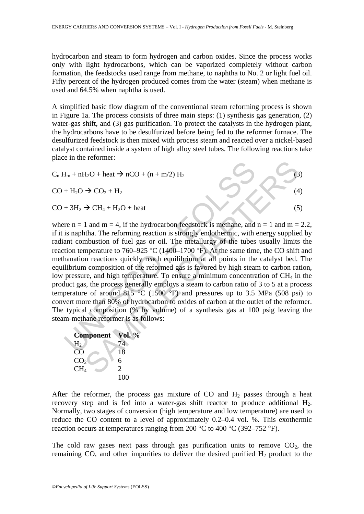hydrocarbon and steam to form hydrogen and carbon oxides. Since the process works only with light hydrocarbons, which can be vaporized completely without carbon formation, the feedstocks used range from methane, to naphtha to No. 2 or light fuel oil. Fifty percent of the hydrogen produced comes from the water (steam) when methane is used and 64.5% when naphtha is used.

A simplified basic flow diagram of the conventional steam reforming process is shown in Figure 1a. The process consists of three main steps: (1) synthesis gas generation, (2) water-gas shift, and (3) gas purification. To protect the catalysts in the hydrogen plant, the hydrocarbons have to be desulfurized before being fed to the reformer furnace. The desulfurized feedstock is then mixed with process steam and reacted over a nickel-based catalyst contained inside a system of high alloy steel tubes. The following reactions take place in the reformer:

 $C_n H_m + nH_2O + \text{heat} \rightarrow nCO + (n + m/2) H_2$  (3)

 $CO + H<sub>2</sub>O \rightarrow CO<sub>2</sub> + H<sub>2</sub>$  (4)

H<sub>m</sub> + nH<sub>2</sub>O + heat → nCO + (n + m/2) H<sub>2</sub><br>
+ H<sub>2</sub>O → CO<sub>2</sub> + H<sub>2</sub><br>
+ H<sub>2</sub>O → CH<sub>4</sub> + H<sub>2</sub>O + heat<br>
re n = 1 and m = 4, if the hydrocarbon feedstock is methane, and<br>
is naphtha. The reforming reaction is strongly endoth From the 4 + H<sub>2</sub>O + (n + m/2) H<sub>2</sub><br>  $\rightarrow$  CO<sub>2</sub> + H<sub>2</sub><br>  $\rightarrow$  CH<sub>4</sub> + H<sub>2</sub>O + heat<br>
1 and m = 4, if the hydrocarbon feedstock is methane, and n = 1 and m =<br>
1 and m = 4, if the hydrocarbon feedstock is methane, and n = 1 a  $CO + 3H_2 \rightarrow CH_4 + H_2O + heat$  (5) where  $n = 1$  and  $m = 4$ , if the hydrocarbon feedstock is methane, and  $n = 1$  and  $m = 2.2$ , if it is naphtha. The reforming reaction is strongly endothermic, with energy supplied by radiant combustion of fuel gas or oil. The metallurgy of the tubes usually limits the reaction temperature to 760–925 °C (1400–1700 °F). At the same time, the CO shift and methanation reactions quickly reach equilibrium at all points in the catalyst bed. The equilibrium composition of the reformed gas is favored by high steam to carbon ration,

low pressure, and high temperature. To ensure a minimum concentration of  $CH<sub>4</sub>$  in the product gas, the process generally employs a steam to carbon ratio of 3 to 5 at a process temperature of around  $815 \text{ °C}$  (1500 °F) and pressures up to 3.5 MPa (508 psi) to convert more than 80% of hydrocarbon to oxides of carbon at the outlet of the reformer. The typical composition (% by volume) of a synthesis gas at 100 psig leaving the steam-methane reformer is as follows:

| <b>Component</b>       | Vol. % |
|------------------------|--------|
| $H_2$                  | 74     |
| $\overline{\text{CO}}$ | 18     |
| CO <sub>2</sub>        | 6      |
| CH <sub>4</sub>        | 2      |
|                        | 100    |

After the reformer, the process gas mixture of CO and  $H_2$  passes through a heat recovery step and is fed into a water-gas shift reactor to produce additional H<sub>2</sub>. Normally, two stages of conversion (high temperature and low temperature) are used to reduce the CO content to a level of approximately 0.2–0.4 vol. %. This exothermic reaction occurs at temperatures ranging from 200  $^{\circ}$ C to 400  $^{\circ}$ C (392–752  $^{\circ}$ F).

The cold raw gases next pass through gas purification units to remove  $CO<sub>2</sub>$ , the remaining CO, and other impurities to deliver the desired purified  $H_2$  product to the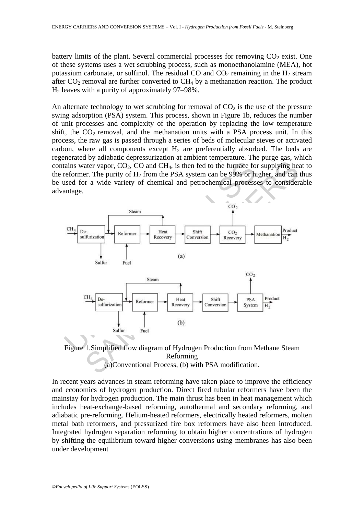battery limits of the plant. Several commercial processes for removing  $CO<sub>2</sub>$  exist. One of these systems uses a wet scrubbing process, such as monoethanolamine (MEA), hot potassium carbonate, or sulfinol. The residual CO and  $CO<sub>2</sub>$  remaining in the H<sub>2</sub> stream after  $CO<sub>2</sub>$  removal are further converted to  $CH<sub>4</sub>$  by a methanation reaction. The product H2 leaves with a purity of approximately 97–98%.

An alternate technology to wet scrubbing for removal of  $CO<sub>2</sub>$  is the use of the pressure swing adsorption (PSA) system. This process, shown in Figure 1b, reduces the number of unit processes and complexity of the operation by replacing the low temperature shift, the  $CO<sub>2</sub>$  removal, and the methanation units with a PSA process unit. In this process, the raw gas is passed through a series of beds of molecular sieves or activated carbon, where all components except  $H_2$  are preferentially absorbed. The beds are regenerated by adiabatic depressurization at ambient temperature. The purge gas, which contains water vapor,  $CO<sub>2</sub>$ ,  $CO$  and  $CH<sub>4</sub>$ , is then fed to the furnace for supplying heat to the reformer. The purity of  $H_2$  from the PSA system can be 99% or higher, and can thus be used for a wide variety of chemical and petrochemical processes to considerable advantage.



Figure 1.Simplified flow diagram of Hydrogen Production from Methane Steam Reforming (a)Conventional Process, (b) with PSA modification.

In recent years advances in steam reforming have taken place to improve the efficiency and economics of hydrogen production. Direct fired tubular reformers have been the mainstay for hydrogen production. The main thrust has been in heat management which includes heat-exchange-based reforming, autothermal and secondary reforming, and adiabatic pre-reforming. Helium-heated reformers, electrically heated reformers, molten metal bath reformers, and pressurized fire box reformers have also been introduced. Integrated hydrogen separation reforming to obtain higher concentrations of hydrogen by shifting the equilibrium toward higher conversions using membranes has also been under development